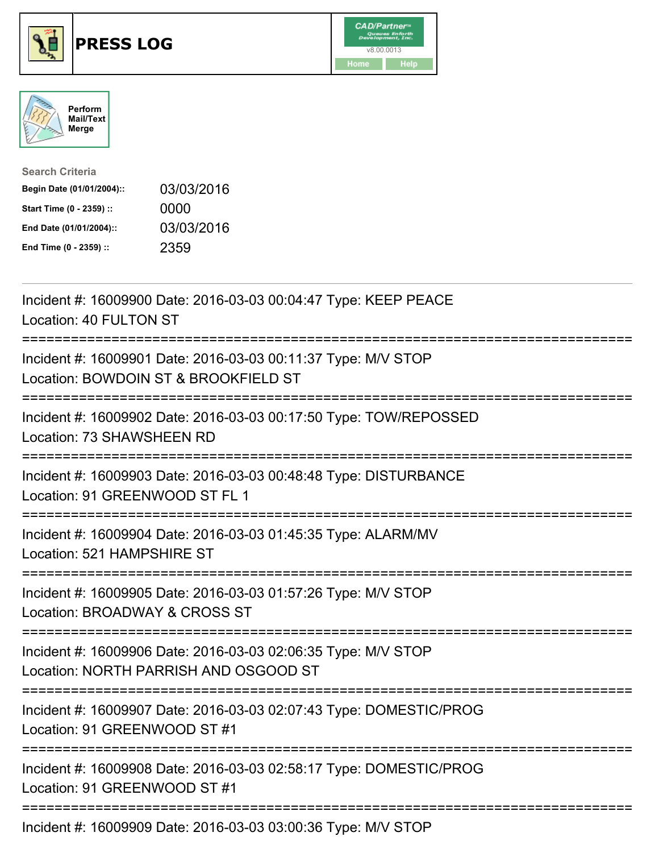





| <b>Search Criteria</b>    |            |
|---------------------------|------------|
| Begin Date (01/01/2004):: | 03/03/2016 |
| Start Time (0 - 2359) ::  | 0000       |
| End Date (01/01/2004)::   | 03/03/2016 |
| End Time (0 - 2359) ::    | 2359       |

| Incident #: 16009900 Date: 2016-03-03 00:04:47 Type: KEEP PEACE<br>Location: 40 FULTON ST                                                         |
|---------------------------------------------------------------------------------------------------------------------------------------------------|
| Incident #: 16009901 Date: 2016-03-03 00:11:37 Type: M/V STOP<br>Location: BOWDOIN ST & BROOKFIELD ST                                             |
| Incident #: 16009902 Date: 2016-03-03 00:17:50 Type: TOW/REPOSSED<br>Location: 73 SHAWSHEEN RD                                                    |
| Incident #: 16009903 Date: 2016-03-03 00:48:48 Type: DISTURBANCE<br>Location: 91 GREENWOOD ST FL 1                                                |
| Incident #: 16009904 Date: 2016-03-03 01:45:35 Type: ALARM/MV<br>Location: 521 HAMPSHIRE ST                                                       |
| Incident #: 16009905 Date: 2016-03-03 01:57:26 Type: M/V STOP<br>Location: BROADWAY & CROSS ST<br>-------------------------                       |
| Incident #: 16009906 Date: 2016-03-03 02:06:35 Type: M/V STOP<br>Location: NORTH PARRISH AND OSGOOD ST<br>;=================================      |
| Incident #: 16009907 Date: 2016-03-03 02:07:43 Type: DOMESTIC/PROG<br>Location: 91 GREENWOOD ST #1<br>:=======================<br>--------------- |
| Incident #: 16009908 Date: 2016-03-03 02:58:17 Type: DOMESTIC/PROG<br>Location: 91 GREENWOOD ST #1                                                |
| Incident #: 16009909 Date: 2016-03-03 03:00:36 Type: M/V STOP                                                                                     |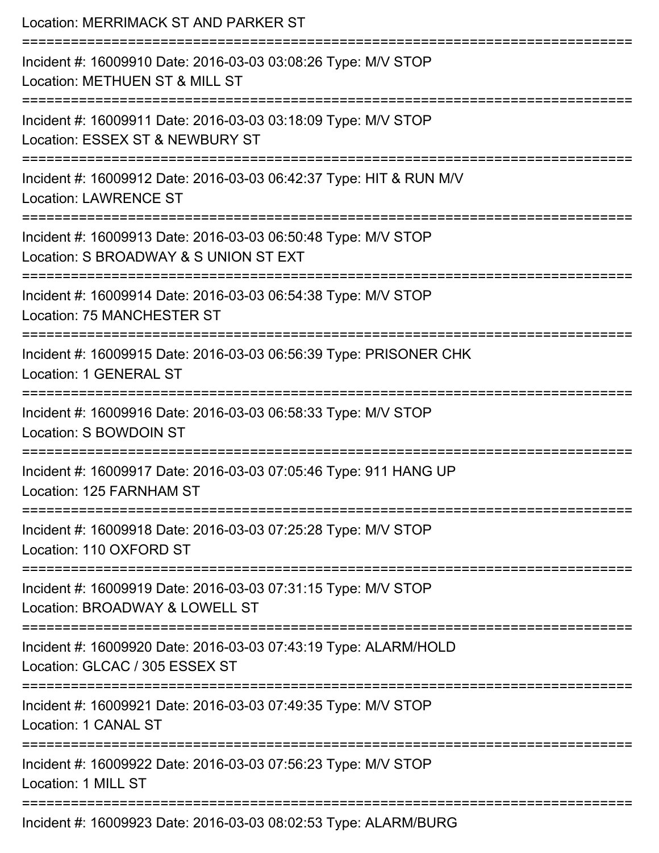| Location: MERRIMACK ST AND PARKER ST                                                                                                        |
|---------------------------------------------------------------------------------------------------------------------------------------------|
| Incident #: 16009910 Date: 2016-03-03 03:08:26 Type: M/V STOP<br>Location: METHUEN ST & MILL ST                                             |
| Incident #: 16009911 Date: 2016-03-03 03:18:09 Type: M/V STOP<br>Location: ESSEX ST & NEWBURY ST                                            |
| Incident #: 16009912 Date: 2016-03-03 06:42:37 Type: HIT & RUN M/V<br><b>Location: LAWRENCE ST</b><br>===================================== |
| Incident #: 16009913 Date: 2016-03-03 06:50:48 Type: M/V STOP<br>Location: S BROADWAY & S UNION ST EXT                                      |
| Incident #: 16009914 Date: 2016-03-03 06:54:38 Type: M/V STOP<br><b>Location: 75 MANCHESTER ST</b><br>:==================                   |
| Incident #: 16009915 Date: 2016-03-03 06:56:39 Type: PRISONER CHK<br>Location: 1 GENERAL ST                                                 |
| Incident #: 16009916 Date: 2016-03-03 06:58:33 Type: M/V STOP<br>Location: S BOWDOIN ST                                                     |
| Incident #: 16009917 Date: 2016-03-03 07:05:46 Type: 911 HANG UP<br>Location: 125 FARNHAM ST                                                |
| Incident #: 16009918 Date: 2016-03-03 07:25:28 Type: M/V STOP<br>Location: 110 OXFORD ST                                                    |
| Incident #: 16009919 Date: 2016-03-03 07:31:15 Type: M/V STOP<br>Location: BROADWAY & LOWELL ST                                             |
| Incident #: 16009920 Date: 2016-03-03 07:43:19 Type: ALARM/HOLD<br>Location: GLCAC / 305 ESSEX ST                                           |
| Incident #: 16009921 Date: 2016-03-03 07:49:35 Type: M/V STOP<br>Location: 1 CANAL ST                                                       |
| Incident #: 16009922 Date: 2016-03-03 07:56:23 Type: M/V STOP<br>Location: 1 MILL ST                                                        |
| Incident #: 16009923 Date: 2016-03-03 08:02:53 Type: ALARM/BURG                                                                             |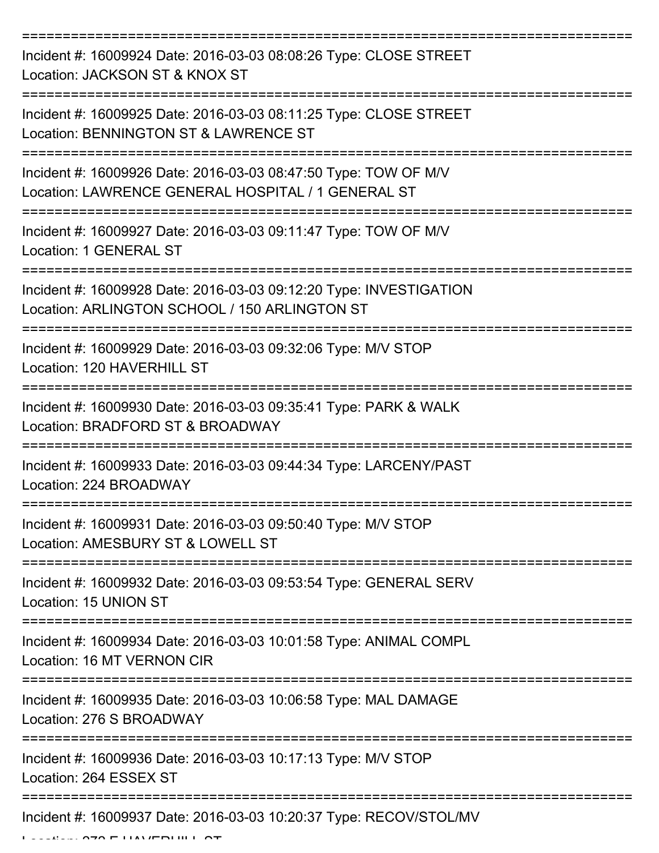| Incident #: 16009924 Date: 2016-03-03 08:08:26 Type: CLOSE STREET<br>Location: JACKSON ST & KNOX ST                   |
|-----------------------------------------------------------------------------------------------------------------------|
| Incident #: 16009925 Date: 2016-03-03 08:11:25 Type: CLOSE STREET<br>Location: BENNINGTON ST & LAWRENCE ST            |
| Incident #: 16009926 Date: 2016-03-03 08:47:50 Type: TOW OF M/V<br>Location: LAWRENCE GENERAL HOSPITAL / 1 GENERAL ST |
| Incident #: 16009927 Date: 2016-03-03 09:11:47 Type: TOW OF M/V<br>Location: 1 GENERAL ST                             |
| Incident #: 16009928 Date: 2016-03-03 09:12:20 Type: INVESTIGATION<br>Location: ARLINGTON SCHOOL / 150 ARLINGTON ST   |
| Incident #: 16009929 Date: 2016-03-03 09:32:06 Type: M/V STOP<br>Location: 120 HAVERHILL ST                           |
| Incident #: 16009930 Date: 2016-03-03 09:35:41 Type: PARK & WALK<br>Location: BRADFORD ST & BROADWAY                  |
| Incident #: 16009933 Date: 2016-03-03 09:44:34 Type: LARCENY/PAST<br>Location: 224 BROADWAY                           |
| Incident #: 16009931 Date: 2016-03-03 09:50:40 Type: M/V STOP<br>Location: AMESBURY ST & LOWELL ST                    |
| Incident #: 16009932 Date: 2016-03-03 09:53:54 Type: GENERAL SERV<br>Location: 15 UNION ST                            |
| Incident #: 16009934 Date: 2016-03-03 10:01:58 Type: ANIMAL COMPL<br>Location: 16 MT VERNON CIR                       |
| Incident #: 16009935 Date: 2016-03-03 10:06:58 Type: MAL DAMAGE<br>Location: 276 S BROADWAY                           |
| Incident #: 16009936 Date: 2016-03-03 10:17:13 Type: M/V STOP<br>Location: 264 ESSEX ST                               |
| Incident #: 16009937 Date: 2016-03-03 10:20:37 Type: RECOV/STOL/MV                                                    |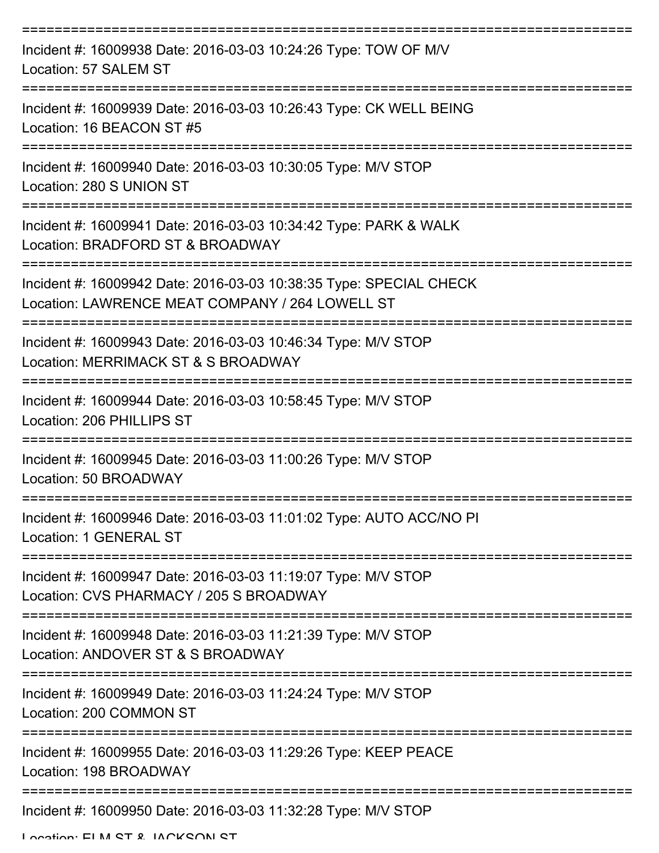| Incident #: 16009938 Date: 2016-03-03 10:24:26 Type: TOW OF M/V<br>Location: 57 SALEM ST                              |
|-----------------------------------------------------------------------------------------------------------------------|
| Incident #: 16009939 Date: 2016-03-03 10:26:43 Type: CK WELL BEING<br>Location: 16 BEACON ST #5                       |
| Incident #: 16009940 Date: 2016-03-03 10:30:05 Type: M/V STOP<br>Location: 280 S UNION ST                             |
| Incident #: 16009941 Date: 2016-03-03 10:34:42 Type: PARK & WALK<br>Location: BRADFORD ST & BROADWAY                  |
| Incident #: 16009942 Date: 2016-03-03 10:38:35 Type: SPECIAL CHECK<br>Location: LAWRENCE MEAT COMPANY / 264 LOWELL ST |
| Incident #: 16009943 Date: 2016-03-03 10:46:34 Type: M/V STOP<br>Location: MERRIMACK ST & S BROADWAY                  |
| Incident #: 16009944 Date: 2016-03-03 10:58:45 Type: M/V STOP<br>Location: 206 PHILLIPS ST                            |
| Incident #: 16009945 Date: 2016-03-03 11:00:26 Type: M/V STOP<br>Location: 50 BROADWAY                                |
| Incident #: 16009946 Date: 2016-03-03 11:01:02 Type: AUTO ACC/NO PI<br>Location: 1 GENERAL ST                         |
| Incident #: 16009947 Date: 2016-03-03 11:19:07 Type: M/V STOP<br>Location: CVS PHARMACY / 205 S BROADWAY              |
| Incident #: 16009948 Date: 2016-03-03 11:21:39 Type: M/V STOP<br>Location: ANDOVER ST & S BROADWAY                    |
| Incident #: 16009949 Date: 2016-03-03 11:24:24 Type: M/V STOP<br>Location: 200 COMMON ST                              |
| Incident #: 16009955 Date: 2016-03-03 11:29:26 Type: KEEP PEACE<br>Location: 198 BROADWAY                             |
| Incident #: 16009950 Date: 2016-03-03 11:32:28 Type: M/V STOP                                                         |

Location: ELM ST & JACKSON ST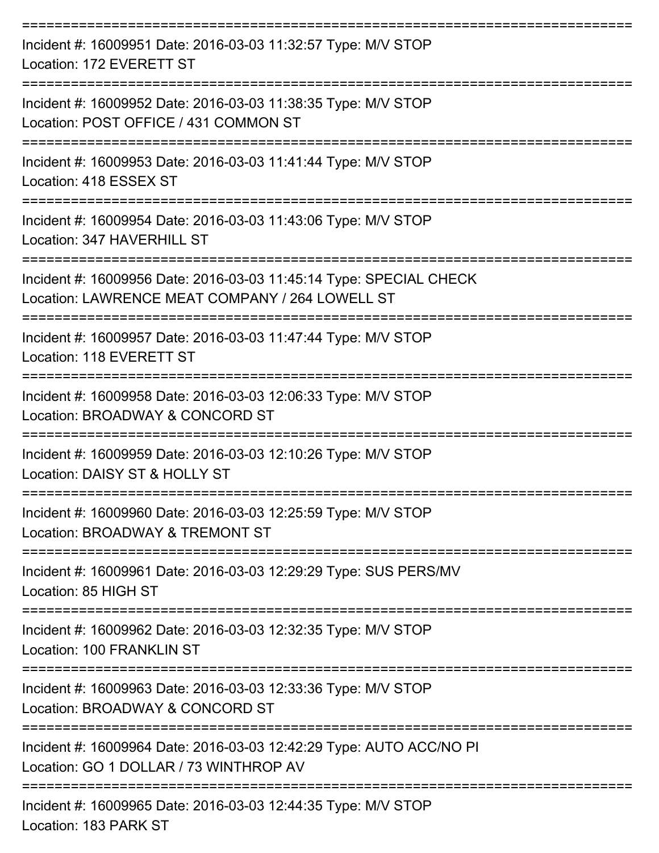| Incident #: 16009951 Date: 2016-03-03 11:32:57 Type: M/V STOP<br>Location: 172 EVERETT ST                             |
|-----------------------------------------------------------------------------------------------------------------------|
| Incident #: 16009952 Date: 2016-03-03 11:38:35 Type: M/V STOP<br>Location: POST OFFICE / 431 COMMON ST                |
| Incident #: 16009953 Date: 2016-03-03 11:41:44 Type: M/V STOP<br>Location: 418 ESSEX ST                               |
| Incident #: 16009954 Date: 2016-03-03 11:43:06 Type: M/V STOP<br>Location: 347 HAVERHILL ST                           |
| Incident #: 16009956 Date: 2016-03-03 11:45:14 Type: SPECIAL CHECK<br>Location: LAWRENCE MEAT COMPANY / 264 LOWELL ST |
| Incident #: 16009957 Date: 2016-03-03 11:47:44 Type: M/V STOP<br>Location: 118 EVERETT ST                             |
| Incident #: 16009958 Date: 2016-03-03 12:06:33 Type: M/V STOP<br>Location: BROADWAY & CONCORD ST                      |
| Incident #: 16009959 Date: 2016-03-03 12:10:26 Type: M/V STOP<br>Location: DAISY ST & HOLLY ST                        |
| Incident #: 16009960 Date: 2016-03-03 12:25:59 Type: M/V STOP<br>Location: BROADWAY & TREMONT ST                      |
| Incident #: 16009961 Date: 2016-03-03 12:29:29 Type: SUS PERS/MV<br>Location: 85 HIGH ST                              |
| Incident #: 16009962 Date: 2016-03-03 12:32:35 Type: M/V STOP<br>Location: 100 FRANKLIN ST                            |
| Incident #: 16009963 Date: 2016-03-03 12:33:36 Type: M/V STOP<br>Location: BROADWAY & CONCORD ST                      |
| Incident #: 16009964 Date: 2016-03-03 12:42:29 Type: AUTO ACC/NO PI<br>Location: GO 1 DOLLAR / 73 WINTHROP AV         |
| Incident #: 16009965 Date: 2016-03-03 12:44:35 Type: M/V STOP                                                         |

Location: 183 PARK ST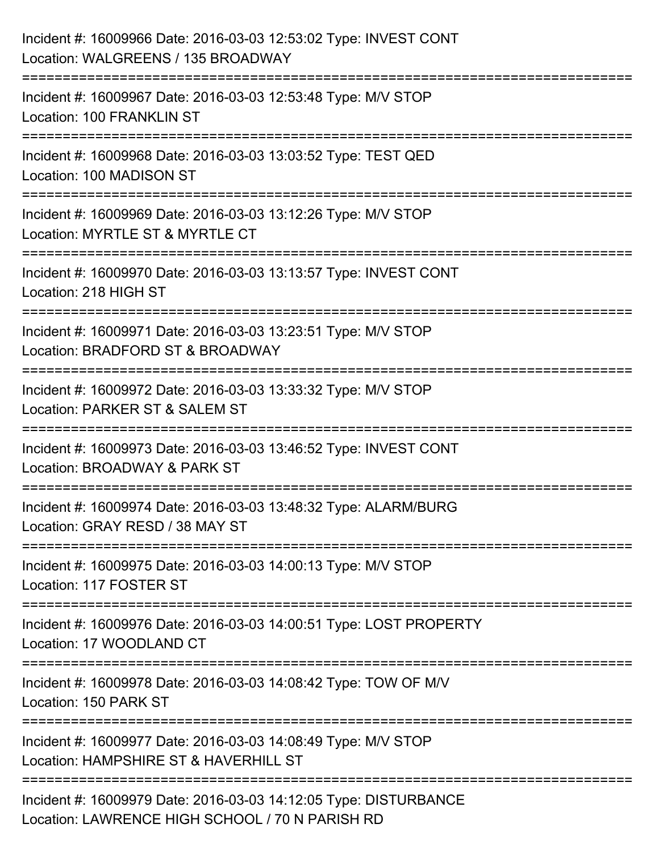| Incident #: 16009966 Date: 2016-03-03 12:53:02 Type: INVEST CONT<br>Location: WALGREENS / 135 BROADWAY               |
|----------------------------------------------------------------------------------------------------------------------|
| ======================<br>Incident #: 16009967 Date: 2016-03-03 12:53:48 Type: M/V STOP<br>Location: 100 FRANKLIN ST |
| Incident #: 16009968 Date: 2016-03-03 13:03:52 Type: TEST QED<br>Location: 100 MADISON ST                            |
| Incident #: 16009969 Date: 2016-03-03 13:12:26 Type: M/V STOP<br>Location: MYRTLE ST & MYRTLE CT                     |
| Incident #: 16009970 Date: 2016-03-03 13:13:57 Type: INVEST CONT<br>Location: 218 HIGH ST                            |
| Incident #: 16009971 Date: 2016-03-03 13:23:51 Type: M/V STOP<br>Location: BRADFORD ST & BROADWAY                    |
| Incident #: 16009972 Date: 2016-03-03 13:33:32 Type: M/V STOP<br>Location: PARKER ST & SALEM ST                      |
| Incident #: 16009973 Date: 2016-03-03 13:46:52 Type: INVEST CONT<br>Location: BROADWAY & PARK ST                     |
| Incident #: 16009974 Date: 2016-03-03 13:48:32 Type: ALARM/BURG<br>Location: GRAY RESD / 38 MAY ST                   |
| Incident #: 16009975 Date: 2016-03-03 14:00:13 Type: M/V STOP<br>Location: 117 FOSTER ST                             |
| Incident #: 16009976 Date: 2016-03-03 14:00:51 Type: LOST PROPERTY<br>Location: 17 WOODLAND CT                       |
| Incident #: 16009978 Date: 2016-03-03 14:08:42 Type: TOW OF M/V<br>Location: 150 PARK ST                             |
| Incident #: 16009977 Date: 2016-03-03 14:08:49 Type: M/V STOP<br>Location: HAMPSHIRE ST & HAVERHILL ST               |
| Incident #: 16009979 Date: 2016-03-03 14:12:05 Type: DISTURBANCE<br>Location: LAWRENCE HIGH SCHOOL / 70 N PARISH RD  |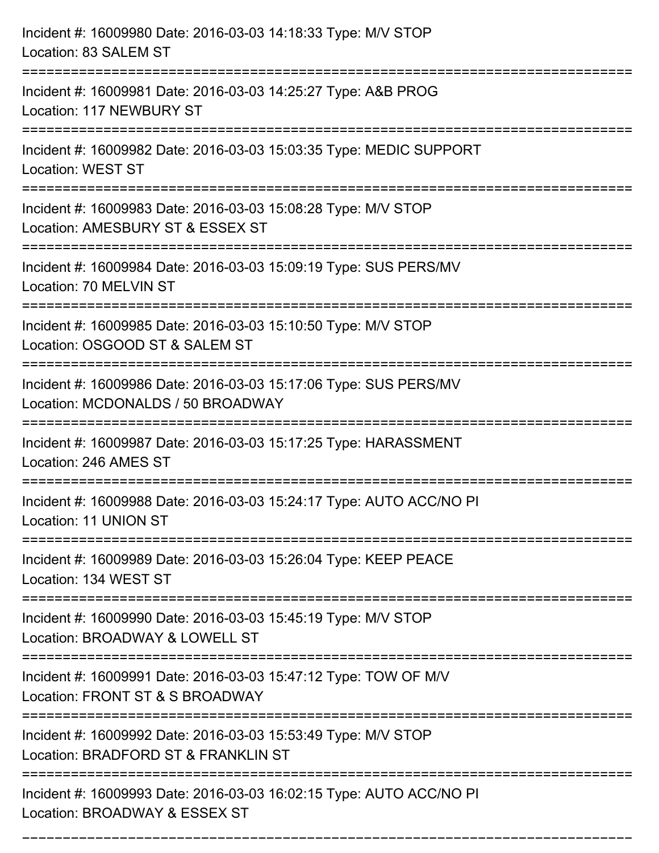| Incident #: 16009980 Date: 2016-03-03 14:18:33 Type: M/V STOP<br>Location: 83 SALEM ST                                           |
|----------------------------------------------------------------------------------------------------------------------------------|
| Incident #: 16009981 Date: 2016-03-03 14:25:27 Type: A&B PROG<br>Location: 117 NEWBURY ST                                        |
| Incident #: 16009982 Date: 2016-03-03 15:03:35 Type: MEDIC SUPPORT<br><b>Location: WEST ST</b>                                   |
| Incident #: 16009983 Date: 2016-03-03 15:08:28 Type: M/V STOP<br>Location: AMESBURY ST & ESSEX ST                                |
| Incident #: 16009984 Date: 2016-03-03 15:09:19 Type: SUS PERS/MV<br>Location: 70 MELVIN ST                                       |
| Incident #: 16009985 Date: 2016-03-03 15:10:50 Type: M/V STOP<br>Location: OSGOOD ST & SALEM ST                                  |
| Incident #: 16009986 Date: 2016-03-03 15:17:06 Type: SUS PERS/MV<br>Location: MCDONALDS / 50 BROADWAY                            |
| Incident #: 16009987 Date: 2016-03-03 15:17:25 Type: HARASSMENT<br>Location: 246 AMES ST                                         |
| Incident #: 16009988 Date: 2016-03-03 15:24:17 Type: AUTO ACC/NO PI<br>Location: 11 UNION ST                                     |
| Incident #: 16009989 Date: 2016-03-03 15:26:04 Type: KEEP PEACE<br>Location: 134 WEST ST<br>------------------------------------ |
| Incident #: 16009990 Date: 2016-03-03 15:45:19 Type: M/V STOP<br>Location: BROADWAY & LOWELL ST                                  |
| Incident #: 16009991 Date: 2016-03-03 15:47:12 Type: TOW OF M/V<br>Location: FRONT ST & S BROADWAY                               |
| Incident #: 16009992 Date: 2016-03-03 15:53:49 Type: M/V STOP<br>Location: BRADFORD ST & FRANKLIN ST                             |
| Incident #: 16009993 Date: 2016-03-03 16:02:15 Type: AUTO ACC/NO PI<br>Location: BROADWAY & ESSEX ST                             |

===========================================================================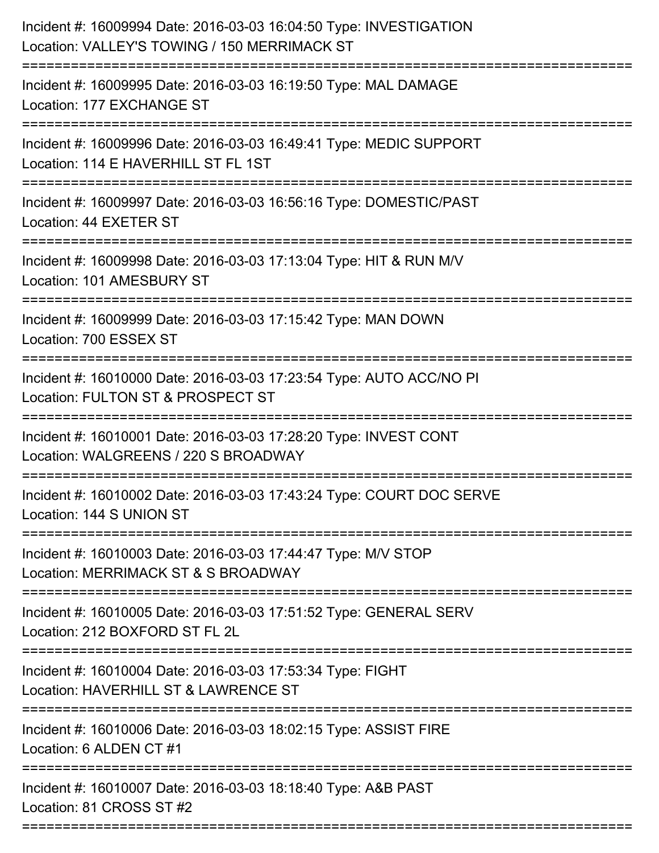| Incident #: 16009994 Date: 2016-03-03 16:04:50 Type: INVESTIGATION<br>Location: VALLEY'S TOWING / 150 MERRIMACK ST |
|--------------------------------------------------------------------------------------------------------------------|
| Incident #: 16009995 Date: 2016-03-03 16:19:50 Type: MAL DAMAGE<br>Location: 177 EXCHANGE ST                       |
| Incident #: 16009996 Date: 2016-03-03 16:49:41 Type: MEDIC SUPPORT<br>Location: 114 E HAVERHILL ST FL 1ST          |
| Incident #: 16009997 Date: 2016-03-03 16:56:16 Type: DOMESTIC/PAST<br>Location: 44 EXETER ST                       |
| Incident #: 16009998 Date: 2016-03-03 17:13:04 Type: HIT & RUN M/V<br>Location: 101 AMESBURY ST                    |
| Incident #: 16009999 Date: 2016-03-03 17:15:42 Type: MAN DOWN<br>Location: 700 ESSEX ST                            |
| Incident #: 16010000 Date: 2016-03-03 17:23:54 Type: AUTO ACC/NO PI<br>Location: FULTON ST & PROSPECT ST           |
| Incident #: 16010001 Date: 2016-03-03 17:28:20 Type: INVEST CONT<br>Location: WALGREENS / 220 S BROADWAY           |
| Incident #: 16010002 Date: 2016-03-03 17:43:24 Type: COURT DOC SERVE<br>Location: 144 S UNION ST                   |
| Incident #: 16010003 Date: 2016-03-03 17:44:47 Type: M/V STOP<br>Location: MERRIMACK ST & S BROADWAY               |
| Incident #: 16010005 Date: 2016-03-03 17:51:52 Type: GENERAL SERV<br>Location: 212 BOXFORD ST FL 2L                |
| Incident #: 16010004 Date: 2016-03-03 17:53:34 Type: FIGHT<br>Location: HAVERHILL ST & LAWRENCE ST                 |
| Incident #: 16010006 Date: 2016-03-03 18:02:15 Type: ASSIST FIRE<br>Location: 6 ALDEN CT #1                        |
| Incident #: 16010007 Date: 2016-03-03 18:18:40 Type: A&B PAST<br>Location: 81 CROSS ST #2                          |
|                                                                                                                    |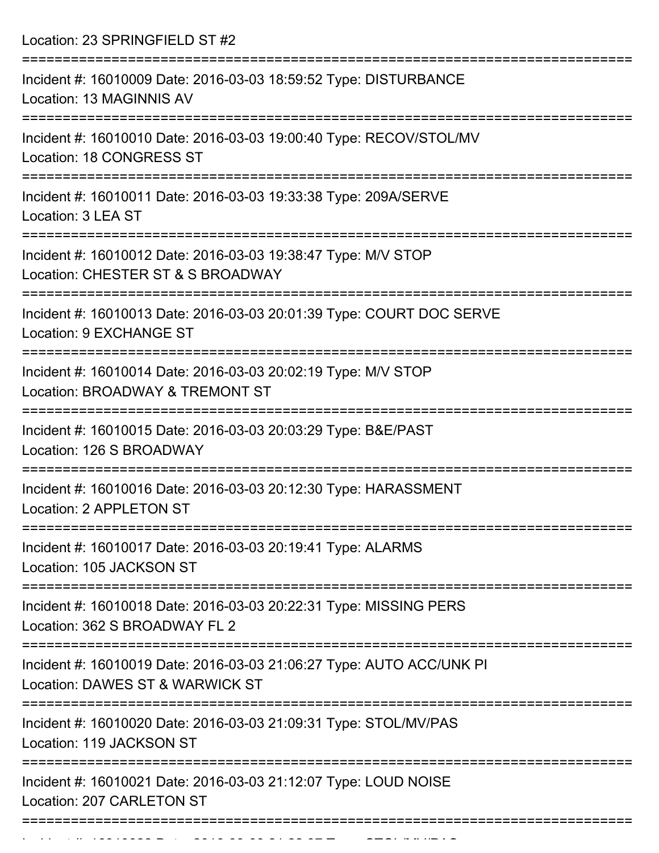Location: 23 SPRINGFIELD ST #2

| Incident #: 16010009 Date: 2016-03-03 18:59:52 Type: DISTURBANCE<br>Location: 13 MAGINNIS AV            |
|---------------------------------------------------------------------------------------------------------|
| Incident #: 16010010 Date: 2016-03-03 19:00:40 Type: RECOV/STOL/MV<br>Location: 18 CONGRESS ST          |
| Incident #: 16010011 Date: 2016-03-03 19:33:38 Type: 209A/SERVE<br>Location: 3 LEA ST                   |
| Incident #: 16010012 Date: 2016-03-03 19:38:47 Type: M/V STOP<br>Location: CHESTER ST & S BROADWAY      |
| Incident #: 16010013 Date: 2016-03-03 20:01:39 Type: COURT DOC SERVE<br><b>Location: 9 EXCHANGE ST</b>  |
| Incident #: 16010014 Date: 2016-03-03 20:02:19 Type: M/V STOP<br>Location: BROADWAY & TREMONT ST        |
| Incident #: 16010015 Date: 2016-03-03 20:03:29 Type: B&E/PAST<br>Location: 126 S BROADWAY               |
| Incident #: 16010016 Date: 2016-03-03 20:12:30 Type: HARASSMENT<br>Location: 2 APPLETON ST              |
| Incident #: 16010017 Date: 2016-03-03 20:19:41 Type: ALARMS<br>Location: 105 JACKSON ST                 |
| Incident #: 16010018 Date: 2016-03-03 20:22:31 Type: MISSING PERS<br>Location: 362 S BROADWAY FL 2      |
| Incident #: 16010019 Date: 2016-03-03 21:06:27 Type: AUTO ACC/UNK PI<br>Location: DAWES ST & WARWICK ST |
| Incident #: 16010020 Date: 2016-03-03 21:09:31 Type: STOL/MV/PAS<br>Location: 119 JACKSON ST            |
| Incident #: 16010021 Date: 2016-03-03 21:12:07 Type: LOUD NOISE<br>Location: 207 CARLETON ST            |
|                                                                                                         |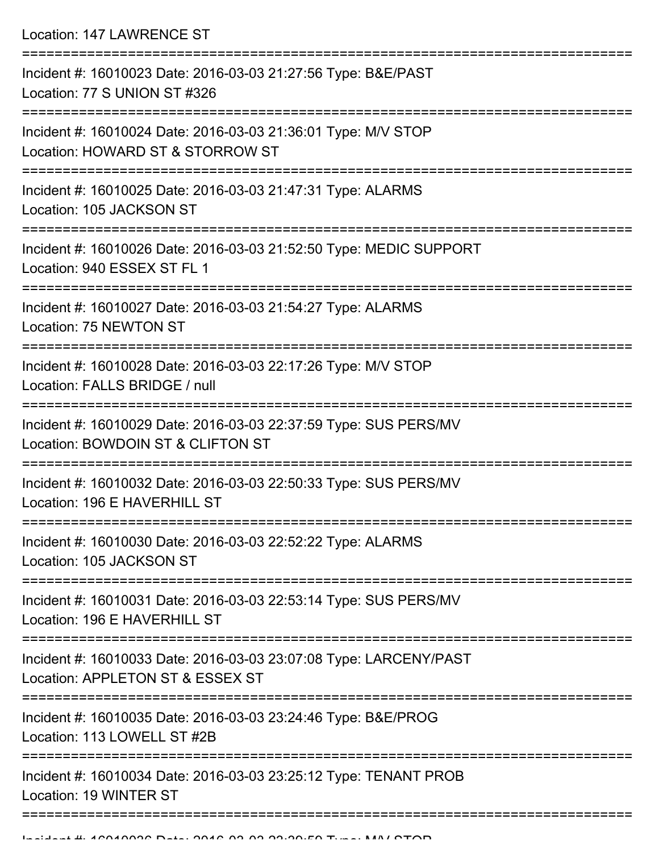Location: 147 LAWRENCE ST

| Incident #: 16010023 Date: 2016-03-03 21:27:56 Type: B&E/PAST<br>Location: 77 S UNION ST #326         |
|-------------------------------------------------------------------------------------------------------|
| Incident #: 16010024 Date: 2016-03-03 21:36:01 Type: M/V STOP<br>Location: HOWARD ST & STORROW ST     |
| Incident #: 16010025 Date: 2016-03-03 21:47:31 Type: ALARMS<br>Location: 105 JACKSON ST               |
| Incident #: 16010026 Date: 2016-03-03 21:52:50 Type: MEDIC SUPPORT<br>Location: 940 ESSEX ST FL 1     |
| Incident #: 16010027 Date: 2016-03-03 21:54:27 Type: ALARMS<br>Location: 75 NEWTON ST                 |
| Incident #: 16010028 Date: 2016-03-03 22:17:26 Type: M/V STOP<br>Location: FALLS BRIDGE / null        |
| Incident #: 16010029 Date: 2016-03-03 22:37:59 Type: SUS PERS/MV<br>Location: BOWDOIN ST & CLIFTON ST |
| Incident #: 16010032 Date: 2016-03-03 22:50:33 Type: SUS PERS/MV<br>Location: 196 E HAVERHILL ST      |
| Incident #: 16010030 Date: 2016-03-03 22:52:22 Type: ALARMS<br>Location: 105 JACKSON ST               |
| Incident #: 16010031 Date: 2016-03-03 22:53:14 Type: SUS PERS/MV<br>Location: 196 E HAVERHILL ST      |
| Incident #: 16010033 Date: 2016-03-03 23:07:08 Type: LARCENY/PAST<br>Location: APPLETON ST & ESSEX ST |
| Incident #: 16010035 Date: 2016-03-03 23:24:46 Type: B&E/PROG<br>Location: 113 LOWELL ST #2B          |
| Incident #: 16010034 Date: 2016-03-03 23:25:12 Type: TENANT PROB<br>Location: 19 WINTER ST            |
|                                                                                                       |